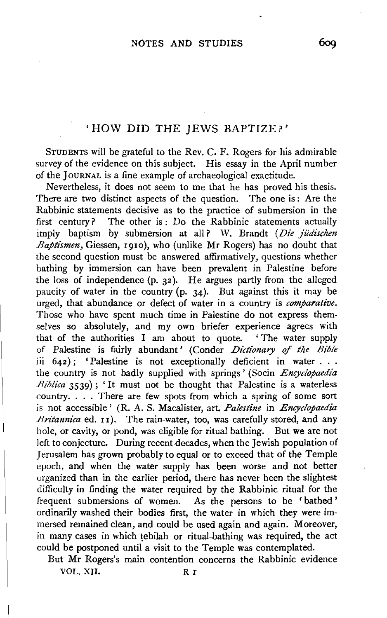## 'HOW DID THE JEWS BAPTIZE?'

STUDENTS will be grateful to the Rev. C. F. Rogers for his admirable survey of the evidence on this subject. His essay in the April number of the JOURNAL is a fine example of archaeological exactitude.

Nevertheless, it does not seem to me that he has proved his thesis. There are two distinct aspects of the question. The one is: Are the Rabbinic statements decisive as to the practice of submersion in the first century? The other is : Do the Rabbinic statements actually imply baptism by submersion at all? W. Brandt *(Die jiidischen Baptismen,* Giessen, I91o), who (unlike Mr Rogers) has no doubt that the second question must be answered affirmatively, questions whether bathing by immersion can have been prevalent in Palestine before the loss of independence  $(p, 32)$ . He argues partly from the alleged paucity of water in the country  $(p. 34)$ . But against this it may be urged, that abundance or defect of water in a country is *comparative.*  Those who have spent much time in Palestine do not express themselves so absolutely, and my own briefer experience agrees with that of the authorities I am about to quote. ' The water supply at of the authorities 1 am about to quote. The water supply<br>
Palestine is fairly abundant' (Conder *Dictionary of the Bible*<br>
642): 'Palestine is not exceptionally deficient in water ... iii  $642$ ; 'Palestine is not exceptionally deficient in water . . . the country is not badly supplied with springs' (Socin *Encyclopaedia Biblica* 3539); 'It must not be thought that Palestine is a waterless *iblica* 3539); 'It must not be thought that Palestine is a waterless puntry.... There are few spots from which a spring of some sort country. . . . There are few spots from which a spring of some sort is not accessible' (R. A. S. Macalister, art. *Palestine* in *Encyclopaedia Britannica* ed. 11 ). The rain-water, too, was carefully stored, and any hole, or cavity, or pond, was eligible for ritual bathing. But we are not left to conjecture. During recent decades, when the Jewish population of Jerusalem has grown probably to equal or to exceed that of the Temple epoch, and when the water supply has been worse and not better organized than in the earlier period, there has never been the slightest difficulty in finding the water required by the Rabbinic ritual for the frequent submersions of women. As the persons to be 'bathed ' ordinarily washed their bodies first, the water in which they were immersed remained clean, and could be used again and again. Moreover, in many cases in which tebilah or ritual-bathing was required, the act could be postponed until a visit to the Temple was contemplated.

a be postponed and a visit to the remple was contemplated. vol. 2013. – 2014. – 2014. – 2014. – 2014. – 2014. – 2014. – 2014. – 2014. – 2014. – 2014. – 2014. – 2014. – 2<br>Dogodki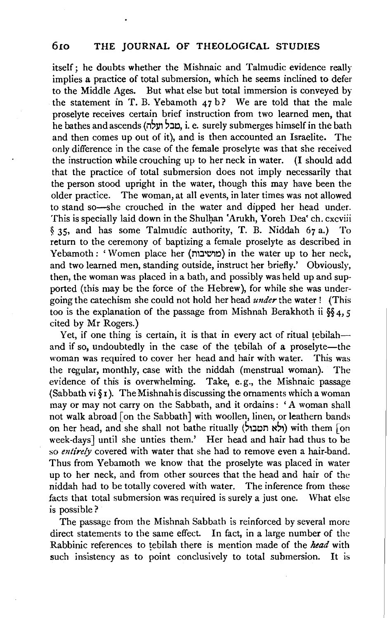itself; he doubts whether the Mishnaic and Talmudic evidence really implies a practice of total submersion, which he seems inclined to defer to the Middle Ages. But what else but total immersion is conveyed by the statement in T. B. Yebamoth  $47 b$ ? We are told that the male proselyte receives certain brief instruction from two learned men, that he bathes and ascends (1'1~31'1 ~:J~, i. e. surely submerges himself in the bath and then comes up out of it), and is then accounted an Israelite. The only difference in the case of the female proselyte was that she received the instruction while crouching up to her neck in water. (I should add that the practice of total submersion does not imply necessarily that the person stood upright in the water, though this may have been the older practice. The woman, at all events, in later times was not allowed to stand so-she crouched in the water and dipped her head under. This is specially laid down in the Shulhan 'Arukh, Yoreh Dea' ch. cxcviii § 35, and has some Talmudic authority, T. B. Niddah 67 a.) To return to the ceremony of baptizing a female proselyte as described in Yebamoth: 'Women place her (מושיבות) in the water up to her neck, and two learned men, standing outside, instruct her briefly.' Obviously, then, the woman was placed in a bath, and possibly was held up and supported (this may be the force of the Hebrew), for while she was undergoing the catechism she could not hold her head *under* the water ! (This too is the explanation of the passage from Mishnah Berakhoth ii §§ 4, *5*  cited by Mr Rogers.)

Yet, if one thing is certain, it is that in every act of ritual tebilah $$ and if so, undoubtedly in the case of the tebilah of a proselyte-the woman was required to cover her head and hair with water. This was the regular, monthly, case with the niddah (menstrual woman). The evidence of this is overwhelming. Take, e. g., the Mishnaic passage (Sabbath vi $\S$ I). The Mishnahis discussing the ornaments which a woman may or may not carry on the Sabbath, and it ordains: 'A woman shall not walk abroad [on the Sabbath] with woollen, linen, or leathern bands on her head, and she shall not bathe ritually (לא תטבול) with them [on week-days] until she unties them.' Her head and hair had thus to be so *entirely* covered with water that she had to remove even a hair-band. Thus from Yebamoth we know that the proselyte was placed in water up to her neck, and from other sources that the head and hair of the niddah had to be totally covered with water. The inference from these facts that total submersion was required is surely a just one. What else is possible?

The passage from the Mishnah Sabbath is reinforced by several more direct statements to the same effect. In fact, in a large number of the Rabbinic references to tebilah there is mention made of the *head* with such insistency as to point conclusively to total submersion. It is